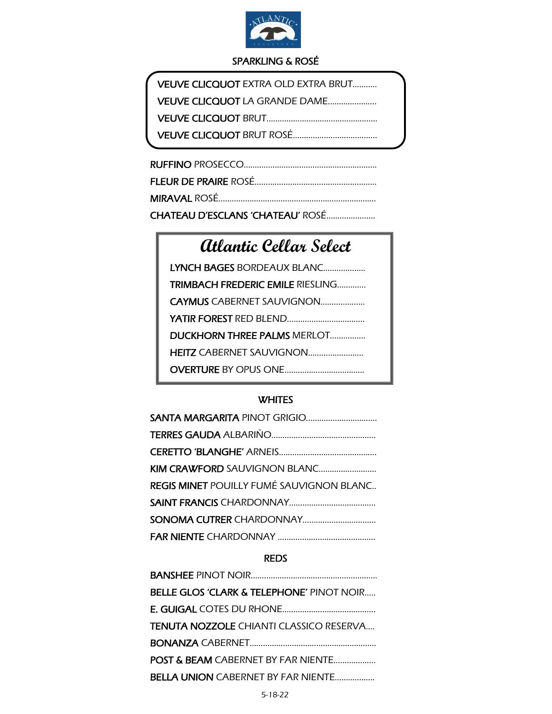

# SPARKLING & ROSÉ

| <b>VEUVE CLICQUOT EXTRA OLD EXTRA BRUT</b> |  |
|--------------------------------------------|--|
| VEUVE CLICOUOT LA GRANDE DAME              |  |
|                                            |  |
|                                            |  |
|                                            |  |

| CHATEAU D'ESCLANS 'CHATEAU' ROSÉ |
|----------------------------------|

# **Atlantic Cellar Select**

| LYNCH BAGES BORDEAUX BLANC              |  |
|-----------------------------------------|--|
| <b>TRIMBACH FREDERIC EMILE RIESLING</b> |  |
| <b>CAYMUS</b> CABERNET SAUVIGNON        |  |
| <b>YATIR FOREST RED BLEND</b>           |  |
| <b>DUCKHORN THREE PALMS MERLOT</b>      |  |
|                                         |  |
| <b>OVERTURE BY OPUS ONE</b>             |  |

## Ī **WHITES**

| <b>KIM CRAWFORD SAUVIGNON BLANC</b>             |
|-------------------------------------------------|
| <b>REGIS MINET POUILLY FUMÉ SAUVIGNON BLANC</b> |
|                                                 |
|                                                 |
|                                                 |

# REDS

| <b>BELLE GLOS 'CLARK &amp; TELEPHONE' PINOT NOIR</b> |
|------------------------------------------------------|
|                                                      |
| <b>TENUTA NOZZOLE</b> CHIANTI CLASSICO RESERVA       |
|                                                      |
| POST & BEAM CABERNET BY FAR NIENTE                   |
| <b>BELLA UNION CABERNET BY FAR NIENTE</b>            |
|                                                      |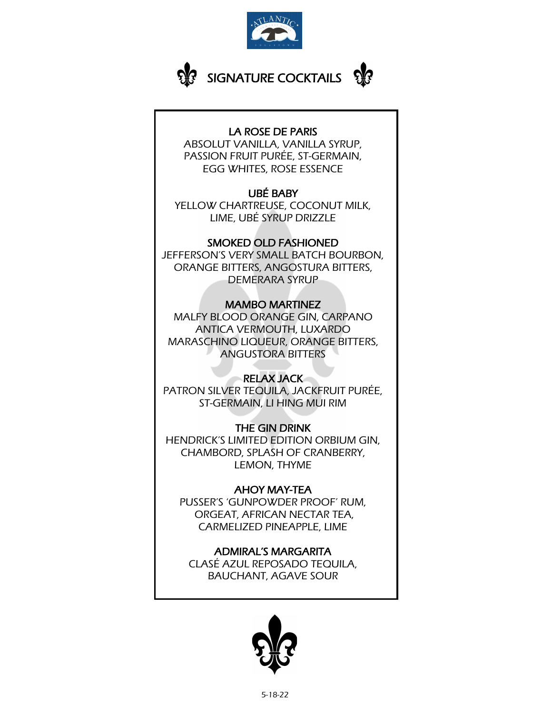



## LA ROSE DE PARIS

ABSOLUT VANILLA, VANILLA SYRUP, PASSION FRUIT PURÉE, ST-GERMAIN, EGG WHITES, ROSE ESSENCE

# UBÉ BABY

YELLOW CHARTREUSE, COCONUT MILK, LIME, UBÉ SYRUP DRIZZLE

# SMOKED OLD FASHIONED

JEFFERSON'S VERY SMALL BATCH BOURBON, ORANGE BITTERS, ANGOSTURA BITTERS, DEMERARA SYRUP

# MAMBO MARTINEZ

MALFY BLOOD ORANGE GIN, CARPANO ANTICA VERMOUTH, LUXARDO MARASCHINO LIQUEUR, ORANGE BITTERS, ANGUSTORA BITTERS

# RELAX JACK

PATRON SILVER TEQUILA, JACKFRUIT PURÉE, ST-GERMAIN, LI HING MUI RIM

# THE GIN DRINK

HENDRICK'S LIMITED EDITION ORBIUM GIN, CHAMBORD, SPLASH OF CRANBERRY, LEMON, THYME

# AHOY MAY-TEA

PUSSER'S 'GUNPOWDER PROOF' RUM, ORGEAT, AFRICAN NECTAR TEA, CARMELIZED PINEAPPLE, LIME

ADMIRAL'S MARGARITA CLASÉ AZUL REPOSADO TEQUILA, BAUCHANT, AGAVE SOUR

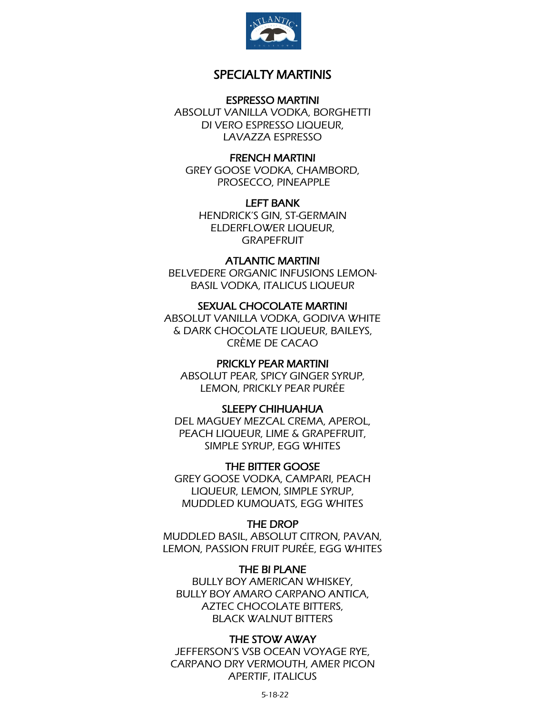

## SPECIALTY MARTINIS

## ESPRESSO MARTINI

ABSOLUT VANILLA VODKA, BORGHETTI DI VERO ESPRESSO LIQUEUR, LAVAZZA ESPRESSO

#### FRENCH MARTINI

GREY GOOSE VODKA, CHAMBORD, PROSECCO, PINEAPPLE

LEFT BANK

HENDRICK'S GIN, ST-GERMAIN ELDERFLOWER LIQUEUR, GRAPEFRUIT

## ATLANTIC MARTINI

BELVEDERE ORGANIC INFUSIONS LEMON-BASIL VODKA, ITALICUS LIQUEUR

#### SEXUAL CHOCOLATE MARTINI

ABSOLUT VANILLA VODKA, GODIVA WHITE & DARK CHOCOLATE LIQUEUR, BAILEYS, CRÈME DE CACAO

## PRICKLY PEAR MARTINI

ABSOLUT PEAR, SPICY GINGER SYRUP, LEMON, PRICKLY PEAR PURÉE

## SLEEPY CHIHUAHUA

DEL MAGUEY MEZCAL CREMA, APEROL, PEACH LIQUEUR, LIME & GRAPEFRUIT, SIMPLE SYRUP, EGG WHITES

THE BITTER GOOSE GREY GOOSE VODKA, CAMPARI, PEACH LIQUEUR, LEMON, SIMPLE SYRUP, MUDDLED KUMQUATS, EGG WHITES

## THE DROP

MUDDLED BASIL, ABSOLUT CITRON, PAVAN, LEMON, PASSION FRUIT PURÉE, EGG WHITES

THE BI PLANE BULLY BOY AMERICAN WHISKEY, BULLY BOY AMARO CARPANO ANTICA, AZTEC CHOCOLATE BITTERS, BLACK WALNUT BITTERS

#### THE STOW AWAY

JEFFERSON'S VSB OCEAN VOYAGE RYE, CARPANO DRY VERMOUTH, AMER PICON APERTIF, ITALICUS